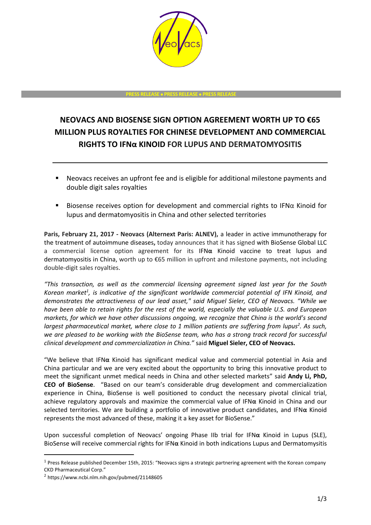

#### **PRESS RELEASE PRESS RELEASE PRESS RELEASE**

# **NEOVACS AND BIOSENSE SIGN OPTION AGREEMENT WORTH UP TO €65 MILLION PLUS ROYALTIES FOR CHINESE DEVELOPMENT AND COMMERCIAL RIGHTS TO IFNα KINOID FOR LUPUS AND DERMATOMYOSITIS**

- Neovacs receives an upfront fee and is eligible for additional milestone payments and double digit sales royalties
- Biosense receives option for development and commercial rights to IFN $\alpha$  Kinoid for lupus and dermatomyositis in China and other selected territories

**Paris, February 21, 2017 - Neovacs (Alternext Paris: ALNEV),** a leader in active immunotherapy for the treatment of autoimmune diseases**,** today announces that it has signed with BioSense Global LLC a commercial license option agreement for its IFN**α** Kinoid vaccine to treat lupus and dermatomyositis in China, worth up to €65 million in upfront and milestone payments, not including double-digit sales royalties.

*"This transaction, as well as the commercial licensing agreement signed last year for the South*  Korean market<sup>1</sup>, is indicative of the significant worldwide commercial potential of IFN Kinoid, and *demonstrates the attractiveness of our lead asset," said Miguel Sieler, CEO of Neovacs. "While we have been able to retain rights for the rest of the world, especially the valuable U.S. and European markets, for which we have other discussions ongoing, we recognize that China is the world's second largest pharmaceutical market, where close to 1 million patients are suffering from lupus<sup>2</sup> . As such, we are pleased to be working with the BioSense team, who has a strong track record for successful clinical development and commercialization in China."* said **Miguel Sieler, CEO of Neovacs.**

"We believe that IFN**α** Kinoid has significant medical value and commercial potential in Asia and China particular and we are very excited about the opportunity to bring this innovative product to meet the significant unmet medical needs in China and other selected markets" said **Andy Li, PhD, CEO of BioSense**. "Based on our team's considerable drug development and commercialization experience in China, BioSense is well positioned to conduct the necessary pivotal clinical trial, achieve regulatory approvals and maximize the commercial value of IFN**α** Kinoid in China and our selected territories. We are building a portfolio of innovative product candidates, and IFN**α** Kinoid represents the most advanced of these, making it a key asset for BioSense."

Upon successful completion of Neovacs' ongoing Phase IIb trial for IFN**α** Kinoid in Lupus (SLE), BioSense will receive commercial rights for IFN**α** Kinoid in both indications Lupus and Dermatomysitis

-

<sup>&</sup>lt;sup>1</sup> Press Release published December 15th, 2015: "Neovacs signs a strategic partnering agreement with the Korean company CKD Pharmaceutical Corp."

<sup>2</sup> https://www.ncbi.nlm.nih.gov/pubmed/21148605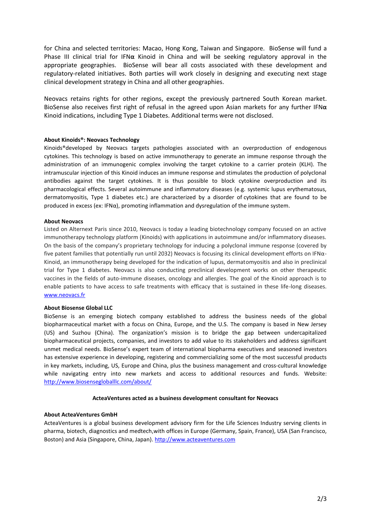for China and selected territories: Macao, Hong Kong, Taiwan and Singapore. BioSense will fund a Phase III clinical trial for IFN**α** Kinoid in China and will be seeking regulatory approval in the appropriate geographies. BioSense will bear all costs associated with these development and regulatory-related initiatives. Both parties will work closely in designing and executing next stage clinical development strategy in China and all other geographies.

Neovacs retains rights for other regions, except the previously partnered South Korean market. BioSense also receives first right of refusal in the agreed upon Asian markets for any further IFN**α** Kinoid indications, including Type 1 Diabetes. Additional terms were not disclosed.

## **About Kinoids®: Neovacs Technology**

Kinoids®developed by Neovacs targets pathologies associated with an overproduction of endogenous cytokines. This technology is based on active immunotherapy to generate an immune response through the administration of an immunogenic complex involving the target cytokine to a carrier protein (KLH). The intramuscular injection of this Kinoid induces an immune response and stimulates the production of polyclonal antibodies against the target cytokines. It is thus possible to block cytokine overproduction and its pharmacological effects. Several autoimmune and inflammatory diseases (e.g. systemic lupus erythematosus, dermatomyositis, Type 1 diabetes etc.) are characterized by a disorder of cytokines that are found to be produced in excess (ex: IFNα), promoting inflammation and dysregulation of the immune system.

## **About Neovacs**

Listed on Alternext Paris since 2010, Neovacs is today a leading biotechnology company focused on an active immunotherapy technology platform (Kinoids) with applications in autoimmune and/or inflammatory diseases. On the basis of the company's proprietary technology for inducing a polyclonal immune response (covered by five patent families that potentially run until 2032) Neovacs is focusing its clinical development efforts on IFNα-Kinoid, an immunotherapy being developed for the indication of lupus, dermatomyositis and also in preclinical trial for Type 1 diabetes. Neovacs is also conducting preclinical development works on other therapeutic vaccines in the fields of auto-immune diseases, oncology and allergies. The goal of the Kinoid approach is to enable patients to have access to safe treatments with efficacy that is sustained in these life-long diseases. [www.neovacs.fr](http://www.neovacs.fr/)

### **About Biosense Global LLC**

BioSense is an emerging biotech company established to address the business needs of the global biopharmaceutical market with a focus on China, Europe, and the U.S. The company is based in New Jersey (US) and Suzhou (China). The organization's mission is to bridge the gap between undercapitalized biopharmaceutical projects, companies, and investors to add value to its stakeholders and address significant unmet medical needs. BioSense's expert team of international biopharma executives and seasoned investors has extensive experience in developing, registering and commercializing some of the most successful products in key markets, including, US, Europe and China, plus the business management and cross-cultural knowledge while navigating entry into new markets and access to additional resources and funds. Website: <http://www.biosensegloballlc.com/about/>

### **ActeaVentures acted as a business development consultant for Neovacs**

## **About ActeaVentures GmbH**

ActeaVentures is a global business development advisory firm for the Life Sciences Industry serving clients in pharma, biotech, diagnostics and medtech,with offices in Europe (Germany, Spain, France), USA (San Francisco, Boston) and Asia (Singapore, China, Japan). [http://www.acteaventures.com](http://www.acteaventures.com/)